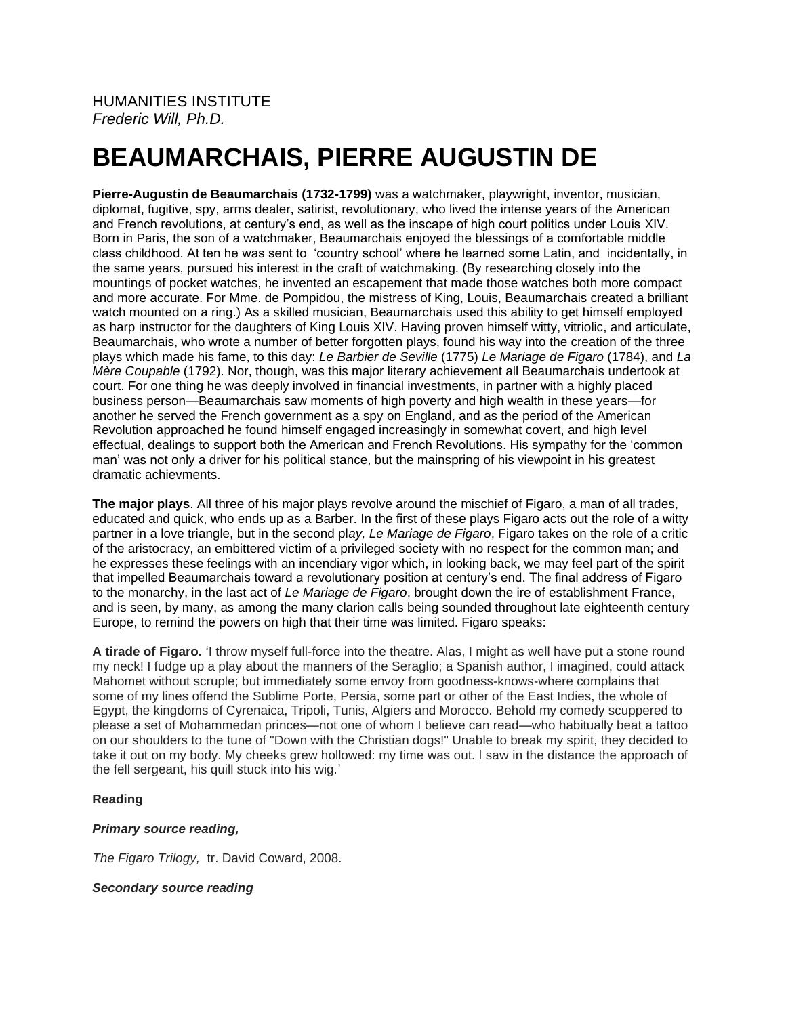# **BEAUMARCHAIS, PIERRE AUGUSTIN DE**

**Pierre-Augustin de Beaumarchais (1732-1799)** was a watchmaker, playwright, inventor, musician, diplomat, fugitive, spy, arms dealer, satirist, revolutionary, who lived the intense years of the American and French revolutions, at century's end, as well as the inscape of high court politics under Louis XIV. Born in Paris, the son of a watchmaker, Beaumarchais enjoyed the blessings of a comfortable middle class childhood. At ten he was sent to 'country school' where he learned some Latin, and incidentally, in the same years, pursued his interest in the craft of watchmaking. (By researching closely into the mountings of pocket watches, he invented an escapement that made those watches both more compact and more accurate. For Mme. de Pompidou, the mistress of King, Louis, Beaumarchais created a brilliant watch mounted on a ring.) As a skilled musician, Beaumarchais used this ability to get himself employed as harp instructor for the daughters of King Louis XIV. Having proven himself witty, vitriolic, and articulate, Beaumarchais, who wrote a number of better forgotten plays, found his way into the creation of the three plays which made his fame, to this day: *Le Barbier de Seville* (1775) *Le Mariage de Figaro* (1784), and *La Mère Coupable* (1792). Nor, though, was this major literary achievement all Beaumarchais undertook at court. For one thing he was deeply involved in financial investments, in partner with a highly placed business person—Beaumarchais saw moments of high poverty and high wealth in these years—for another he served the French government as a spy on England, and as the period of the American Revolution approached he found himself engaged increasingly in somewhat covert, and high level effectual, dealings to support both the American and French Revolutions. His sympathy for the 'common man' was not only a driver for his political stance, but the mainspring of his viewpoint in his greatest dramatic achievments.

**The major plays**. All three of his major plays revolve around the mischief of Figaro, a man of all trades, educated and quick, who ends up as a Barber. In the first of these plays Figaro acts out the role of a witty partner in a love triangle, but in the second pl*ay, Le Mariage de Figaro*, Figaro takes on the role of a critic of the aristocracy, an embittered victim of a privileged society with no respect for the common man; and he expresses these feelings with an incendiary vigor which, in looking back, we may feel part of the spirit that impelled Beaumarchais toward a revolutionary position at century's end. The final address of Figaro to the monarchy, in the last act of *Le Mariage de Figaro*, brought down the ire of establishment France, and is seen, by many, as among the many clarion calls being sounded throughout late eighteenth century Europe, to remind the powers on high that their time was limited. Figaro speaks:

**A tirade of Figaro.** 'I throw myself full-force into the theatre. Alas, I might as well have put a stone round my neck! I fudge up a play about the manners of the Seraglio; a Spanish author, I imagined, could attack Mahomet without scruple; but immediately some envoy from goodness-knows-where complains that some of my lines offend the Sublime Porte, Persia, some part or other of the East Indies, the whole of Egypt, the kingdoms of Cyrenaica, Tripoli, Tunis, Algiers and Morocco. Behold my comedy scuppered to please a set of Mohammedan princes—not one of whom I believe can read—who habitually beat a tattoo on our shoulders to the tune of "Down with the Christian dogs!" Unable to break my spirit, they decided to take it out on my body. My cheeks grew hollowed: my time was out. I saw in the distance the approach of the fell sergeant, his quill stuck into his wig.'

## **Reading**

## *Primary source reading,*

*The Figaro Trilogy,* tr. David Coward, 2008.

## *Secondary source reading*